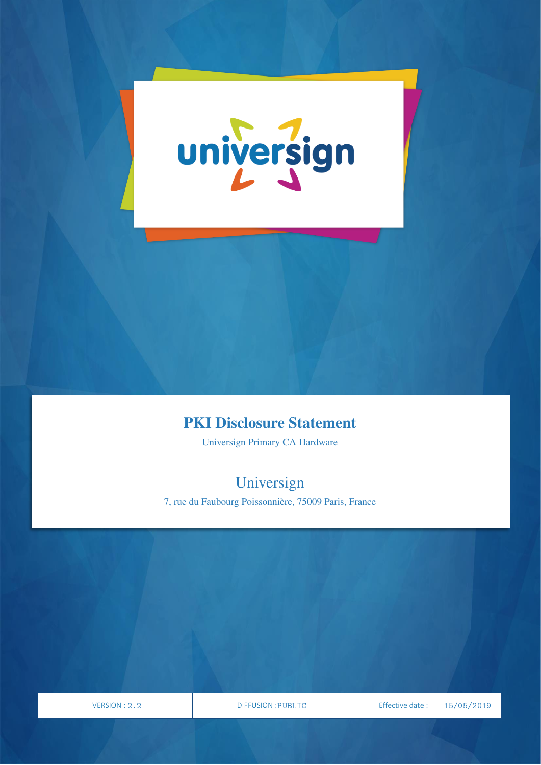

## PKI Disclosure Statement

Universign Primary CA Hardware

# Universign

7, rue du Faubourg Poissonnière, 75009 Paris, France

VERSION

PAGE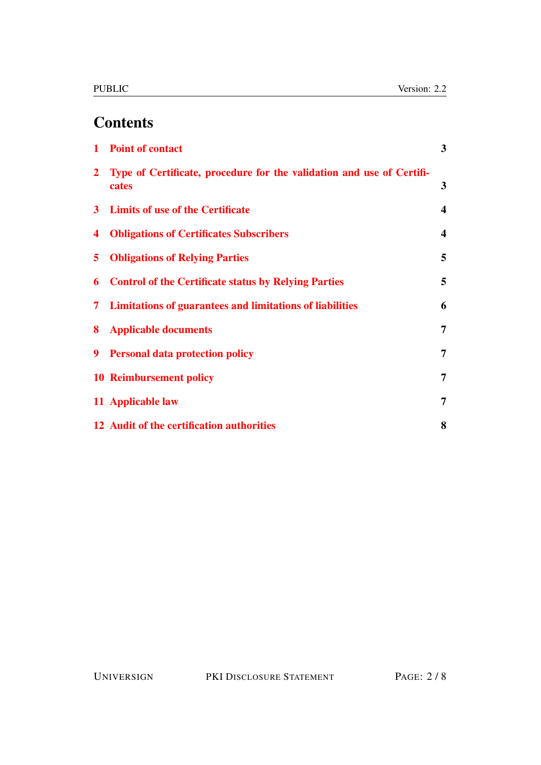# **Contents**

|                | 1 Point of contact                                                             | $\mathbf{3}$            |
|----------------|--------------------------------------------------------------------------------|-------------------------|
| $\overline{2}$ | Type of Certificate, procedure for the validation and use of Certifi-<br>cates | 3                       |
|                | 3 Limits of use of the Certificate                                             | $\overline{\mathbf{4}}$ |
| 4              | <b>Obligations of Certificates Subscribers</b>                                 | $\overline{\mathbf{4}}$ |
| 5.             | <b>Obligations of Relying Parties</b>                                          | 5                       |
| 6              | <b>Control of the Certificate status by Relying Parties</b>                    | 5                       |
| 7              | <b>Limitations of guarantees and limitations of liabilities</b>                | 6                       |
| 8              | <b>Applicable documents</b>                                                    | 7                       |
| 9              | <b>Personal data protection policy</b>                                         | $\overline{7}$          |
|                | <b>10 Reimbursement policy</b>                                                 | 7                       |
|                | 11 Applicable law                                                              | 7                       |
|                | 12 Audit of the certification authorities                                      | 8                       |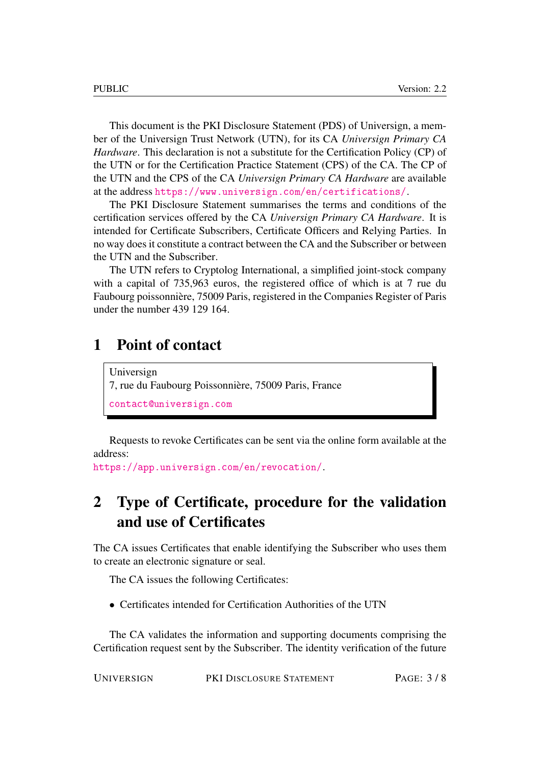This document is the PKI Disclosure Statement (PDS) of Universign, a member of the Universign Trust Network (UTN), for its CA *Universign Primary CA Hardware*. This declaration is not a substitute for the Certification Policy (CP) of the UTN or for the Certification Practice Statement (CPS) of the CA. The CP of the UTN and the CPS of the CA *Universign Primary CA Hardware* are available at the address <https://www.universign.com/en/certifications/>.

The PKI Disclosure Statement summarises the terms and conditions of the certification services offered by the CA *Universign Primary CA Hardware*. It is intended for Certificate Subscribers, Certificate Officers and Relying Parties. In no way does it constitute a contract between the CA and the Subscriber or between the UTN and the Subscriber.

The UTN refers to Cryptolog International, a simplified joint-stock company with a capital of 735,963 euros, the registered office of which is at 7 rue du Faubourg poissonnière, 75009 Paris, registered in the Companies Register of Paris under the number 439 129 164.

#### <span id="page-2-0"></span>1 Point of contact

Universign 7, rue du Faubourg Poissonnière, 75009 Paris, France <contact@universign.com>

Requests to revoke Certificates can be sent via the online form available at the address:

<https://app.universign.com/en/revocation/>.

## <span id="page-2-1"></span>2 Type of Certificate, procedure for the validation and use of Certificates

The CA issues Certificates that enable identifying the Subscriber who uses them to create an electronic signature or seal.

The CA issues the following Certificates:

• Certificates intended for Certification Authorities of the UTN

The CA validates the information and supporting documents comprising the Certification request sent by the Subscriber. The identity verification of the future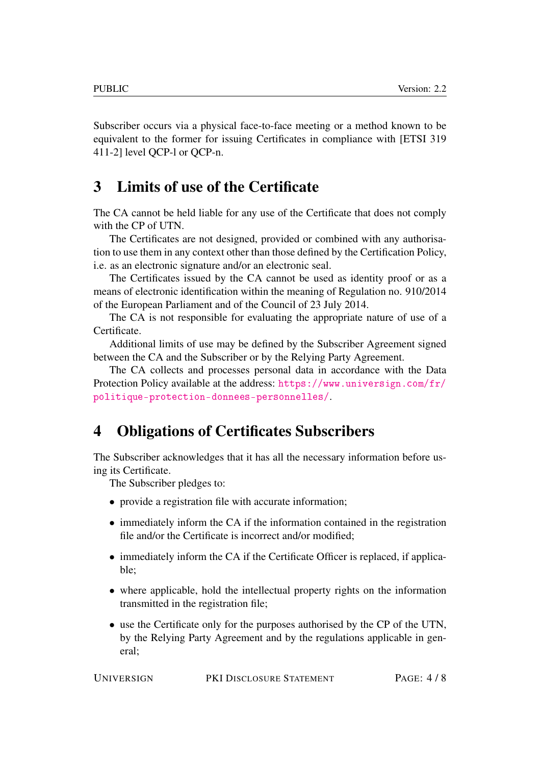Subscriber occurs via a physical face-to-face meeting or a method known to be equivalent to the former for issuing Certificates in compliance with [ETSI 319 411-2] level QCP-l or QCP-n.

#### <span id="page-3-0"></span>3 Limits of use of the Certificate

The CA cannot be held liable for any use of the Certificate that does not comply with the CP of UTN.

The Certificates are not designed, provided or combined with any authorisation to use them in any context other than those defined by the Certification Policy, i.e. as an electronic signature and/or an electronic seal.

The Certificates issued by the CA cannot be used as identity proof or as a means of electronic identification within the meaning of Regulation no. 910/2014 of the European Parliament and of the Council of 23 July 2014.

The CA is not responsible for evaluating the appropriate nature of use of a Certificate.

Additional limits of use may be defined by the Subscriber Agreement signed between the CA and the Subscriber or by the Relying Party Agreement.

The CA collects and processes personal data in accordance with the Data Protection Policy available at the address: [https://www.universign.com/fr/](https://www.universign.com/fr/politique-protection-donnees-personnelles/) [politique-protection-donnees-personnelles/](https://www.universign.com/fr/politique-protection-donnees-personnelles/).

#### <span id="page-3-1"></span>4 Obligations of Certificates Subscribers

The Subscriber acknowledges that it has all the necessary information before using its Certificate.

The Subscriber pledges to:

- provide a registration file with accurate information;
- immediately inform the CA if the information contained in the registration file and/or the Certificate is incorrect and/or modified;
- immediately inform the CA if the Certificate Officer is replaced, if applicable;
- where applicable, hold the intellectual property rights on the information transmitted in the registration file;
- use the Certificate only for the purposes authorised by the CP of the UTN, by the Relying Party Agreement and by the regulations applicable in general;

| <b>UNIVERSIGN</b> | PKI DISCLOSURE STATEMENT | PAGE: 4/8 |
|-------------------|--------------------------|-----------|
|-------------------|--------------------------|-----------|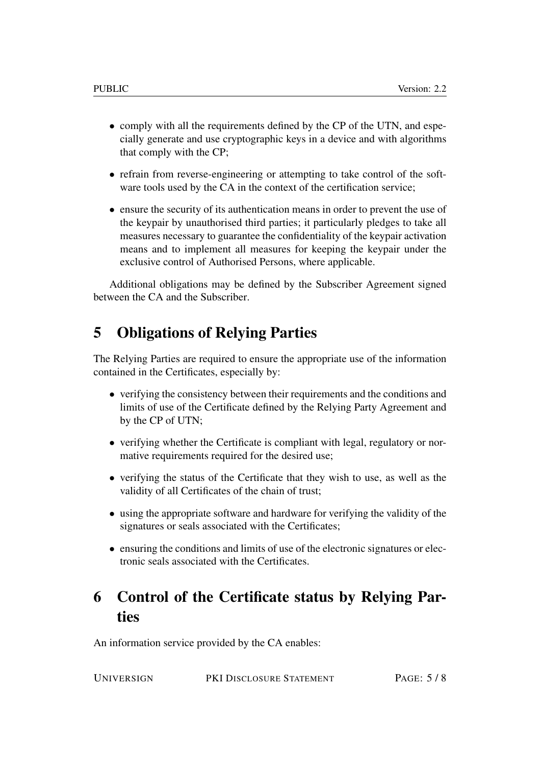- comply with all the requirements defined by the CP of the UTN, and especially generate and use cryptographic keys in a device and with algorithms that comply with the CP;
- refrain from reverse-engineering or attempting to take control of the software tools used by the CA in the context of the certification service;
- ensure the security of its authentication means in order to prevent the use of the keypair by unauthorised third parties; it particularly pledges to take all measures necessary to guarantee the confidentiality of the keypair activation means and to implement all measures for keeping the keypair under the exclusive control of Authorised Persons, where applicable.

Additional obligations may be defined by the Subscriber Agreement signed between the CA and the Subscriber.

### <span id="page-4-0"></span>5 Obligations of Relying Parties

The Relying Parties are required to ensure the appropriate use of the information contained in the Certificates, especially by:

- verifying the consistency between their requirements and the conditions and limits of use of the Certificate defined by the Relying Party Agreement and by the CP of UTN;
- verifying whether the Certificate is compliant with legal, regulatory or normative requirements required for the desired use;
- verifying the status of the Certificate that they wish to use, as well as the validity of all Certificates of the chain of trust;
- using the appropriate software and hardware for verifying the validity of the signatures or seals associated with the Certificates;
- ensuring the conditions and limits of use of the electronic signatures or electronic seals associated with the Certificates.

## <span id="page-4-1"></span>6 Control of the Certificate status by Relying Parties

An information service provided by the CA enables:

UNIVERSIGN PKI DISCLOSURE STATEMENT PAGE: 5 / 8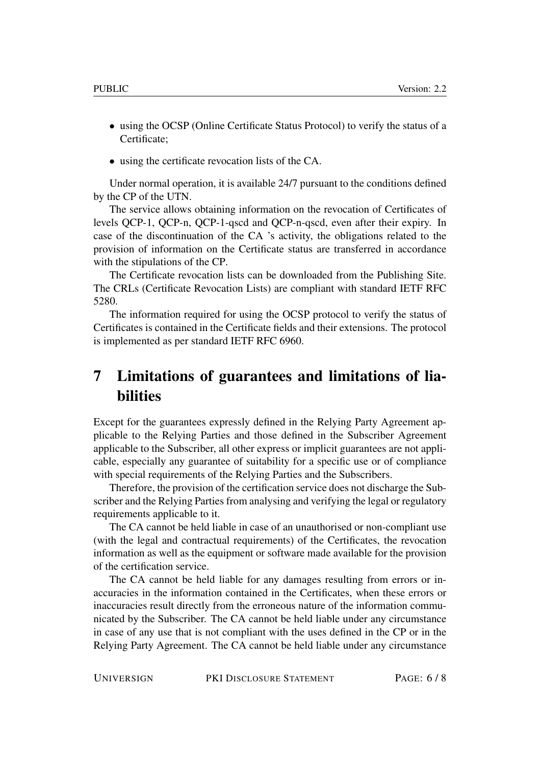- using the OCSP (Online Certificate Status Protocol) to verify the status of a Certificate;
- using the certificate revocation lists of the CA.

Under normal operation, it is available 24/7 pursuant to the conditions defined by the CP of the UTN.

The service allows obtaining information on the revocation of Certificates of levels QCP-1, QCP-n, QCP-1-qscd and QCP-n-qscd, even after their expiry. In case of the discontinuation of the CA 's activity, the obligations related to the provision of information on the Certificate status are transferred in accordance with the stipulations of the CP.

The Certificate revocation lists can be downloaded from the Publishing Site. The CRLs (Certificate Revocation Lists) are compliant with standard IETF RFC 5280.

The information required for using the OCSP protocol to verify the status of Certificates is contained in the Certificate fields and their extensions. The protocol is implemented as per standard IETF RFC 6960.

## <span id="page-5-0"></span>7 Limitations of guarantees and limitations of liabilities

Except for the guarantees expressly defined in the Relying Party Agreement applicable to the Relying Parties and those defined in the Subscriber Agreement applicable to the Subscriber, all other express or implicit guarantees are not applicable, especially any guarantee of suitability for a specific use or of compliance with special requirements of the Relying Parties and the Subscribers.

Therefore, the provision of the certification service does not discharge the Subscriber and the Relying Parties from analysing and verifying the legal or regulatory requirements applicable to it.

The CA cannot be held liable in case of an unauthorised or non-compliant use (with the legal and contractual requirements) of the Certificates, the revocation information as well as the equipment or software made available for the provision of the certification service.

The CA cannot be held liable for any damages resulting from errors or inaccuracies in the information contained in the Certificates, when these errors or inaccuracies result directly from the erroneous nature of the information communicated by the Subscriber. The CA cannot be held liable under any circumstance in case of any use that is not compliant with the uses defined in the CP or in the Relying Party Agreement. The CA cannot be held liable under any circumstance

UNIVERSIGN PKI DISCLOSURE STATEMENT PAGE: 6 / 8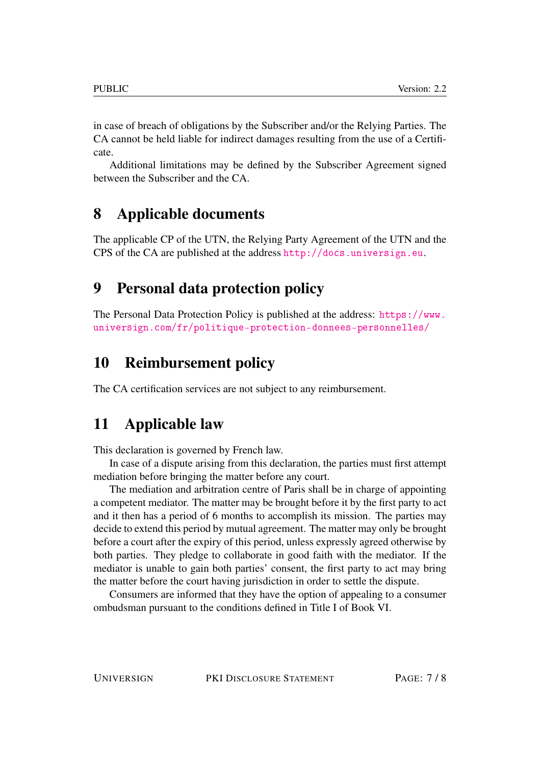in case of breach of obligations by the Subscriber and/or the Relying Parties. The CA cannot be held liable for indirect damages resulting from the use of a Certificate.

Additional limitations may be defined by the Subscriber Agreement signed between the Subscriber and the CA.

### <span id="page-6-0"></span>8 Applicable documents

The applicable CP of the UTN, the Relying Party Agreement of the UTN and the CPS of the CA are published at the address <http://docs.universign.eu>.

### <span id="page-6-1"></span>9 Personal data protection policy

The Personal Data Protection Policy is published at the address: [https://www.](https://www.universign.com/fr/politique-protection-donnees-personnelles/) [universign.com/fr/politique-protection-donnees-personnelles/](https://www.universign.com/fr/politique-protection-donnees-personnelles/)

#### <span id="page-6-2"></span>10 Reimbursement policy

The CA certification services are not subject to any reimbursement.

### <span id="page-6-3"></span>11 Applicable law

This declaration is governed by French law.

In case of a dispute arising from this declaration, the parties must first attempt mediation before bringing the matter before any court.

The mediation and arbitration centre of Paris shall be in charge of appointing a competent mediator. The matter may be brought before it by the first party to act and it then has a period of 6 months to accomplish its mission. The parties may decide to extend this period by mutual agreement. The matter may only be brought before a court after the expiry of this period, unless expressly agreed otherwise by both parties. They pledge to collaborate in good faith with the mediator. If the mediator is unable to gain both parties' consent, the first party to act may bring the matter before the court having jurisdiction in order to settle the dispute.

Consumers are informed that they have the option of appealing to a consumer ombudsman pursuant to the conditions defined in Title I of Book VI.

UNIVERSIGN PKI DISCLOSURE STATEMENT PAGE: 7 / 8